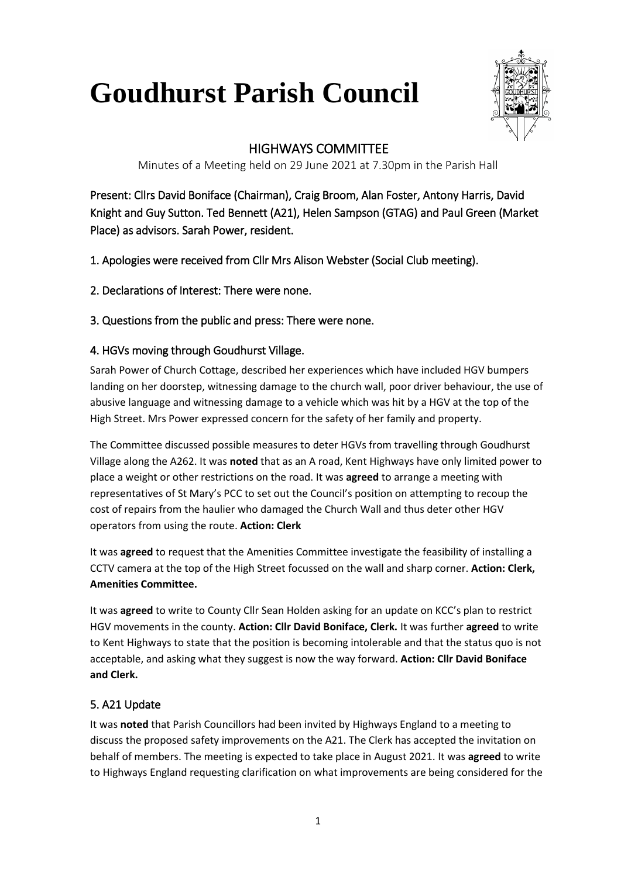# **Goudhurst Parish Council**



# HIGHWAYS COMMITTEE

Minutes of a Meeting held on 29 June 2021 at 7.30pm in the Parish Hall

Present: Cllrs David Boniface (Chairman), Craig Broom, Alan Foster, Antony Harris, David Knight and Guy Sutton. Ted Bennett (A21), Helen Sampson (GTAG) and Paul Green (Market Place) as advisors. Sarah Power, resident.

- 1. Apologies were received from Cllr Mrs Alison Webster (Social Club meeting).
- 2. Declarations of Interest: There were none.
- 3. Questions from the public and press: There were none.

### 4. HGVs moving through Goudhurst Village.

Sarah Power of Church Cottage, described her experiences which have included HGV bumpers landing on her doorstep, witnessing damage to the church wall, poor driver behaviour, the use of abusive language and witnessing damage to a vehicle which was hit by a HGV at the top of the High Street. Mrs Power expressed concern for the safety of her family and property.

The Committee discussed possible measures to deter HGVs from travelling through Goudhurst Village along the A262. It was **noted** that as an A road, Kent Highways have only limited power to place a weight or other restrictions on the road. It was **agreed** to arrange a meeting with representatives of St Mary's PCC to set out the Council's position on attempting to recoup the cost of repairs from the haulier who damaged the Church Wall and thus deter other HGV operators from using the route. **Action: Clerk**

It was **agreed** to request that the Amenities Committee investigate the feasibility of installing a CCTV camera at the top of the High Street focussed on the wall and sharp corner. **Action: Clerk, Amenities Committee.**

It was **agreed** to write to County Cllr Sean Holden asking for an update on KCC's plan to restrict HGV movements in the county. **Action: Cllr David Boniface, Clerk.** It was further **agreed** to write to Kent Highways to state that the position is becoming intolerable and that the status quo is not acceptable, and asking what they suggest is now the way forward. **Action: Cllr David Boniface and Clerk.**

# 5. A21 Update

It was **noted** that Parish Councillors had been invited by Highways England to a meeting to discuss the proposed safety improvements on the A21. The Clerk has accepted the invitation on behalf of members. The meeting is expected to take place in August 2021. It was **agreed** to write to Highways England requesting clarification on what improvements are being considered for the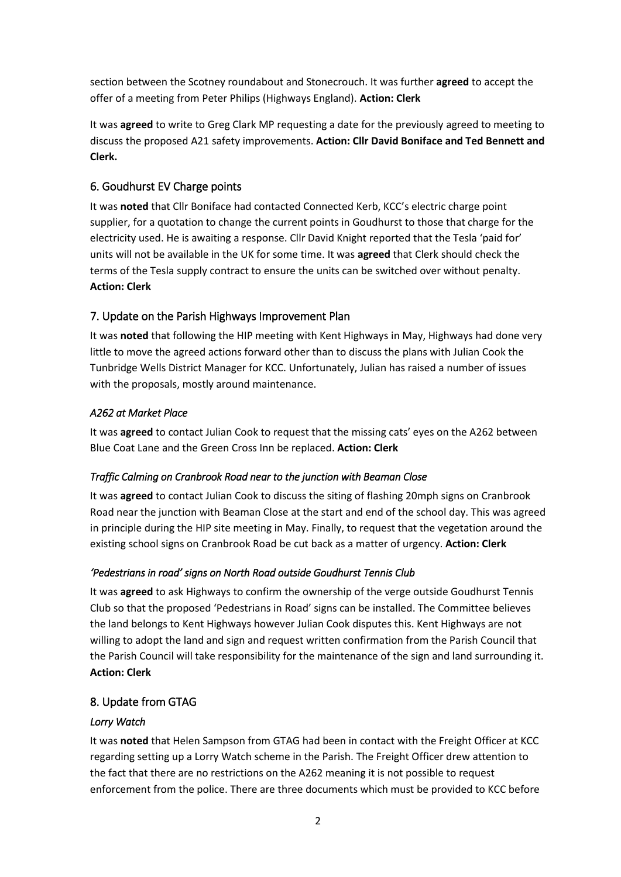section between the Scotney roundabout and Stonecrouch. It was further **agreed** to accept the offer of a meeting from Peter Philips (Highways England). **Action: Clerk**

It was **agreed** to write to Greg Clark MP requesting a date for the previously agreed to meeting to discuss the proposed A21 safety improvements. **Action: Cllr David Boniface and Ted Bennett and Clerk.** 

## 6. Goudhurst EV Charge points

It was **noted** that Cllr Boniface had contacted Connected Kerb, KCC's electric charge point supplier, for a quotation to change the current points in Goudhurst to those that charge for the electricity used. He is awaiting a response. Cllr David Knight reported that the Tesla 'paid for' units will not be available in the UK for some time. It was **agreed** that Clerk should check the terms of the Tesla supply contract to ensure the units can be switched over without penalty. **Action: Clerk**

#### 7. Update on the Parish Highways Improvement Plan

It was **noted** that following the HIP meeting with Kent Highways in May, Highways had done very little to move the agreed actions forward other than to discuss the plans with Julian Cook the Tunbridge Wells District Manager for KCC. Unfortunately, Julian has raised a number of issues with the proposals, mostly around maintenance.

#### *A262 at Market Place*

It was **agreed** to contact Julian Cook to request that the missing cats' eyes on the A262 between Blue Coat Lane and the Green Cross Inn be replaced. **Action: Clerk**

#### *Traffic Calming on Cranbrook Road near to the junction with Beaman Close*

It was **agreed** to contact Julian Cook to discuss the siting of flashing 20mph signs on Cranbrook Road near the junction with Beaman Close at the start and end of the school day. This was agreed in principle during the HIP site meeting in May. Finally, to request that the vegetation around the existing school signs on Cranbrook Road be cut back as a matter of urgency. **Action: Clerk**

#### *'Pedestrians in road' signs on North Road outside Goudhurst Tennis Club*

It was **agreed** to ask Highways to confirm the ownership of the verge outside Goudhurst Tennis Club so that the proposed 'Pedestrians in Road' signs can be installed. The Committee believes the land belongs to Kent Highways however Julian Cook disputes this. Kent Highways are not willing to adopt the land and sign and request written confirmation from the Parish Council that the Parish Council will take responsibility for the maintenance of the sign and land surrounding it. **Action: Clerk**

#### 8. Update from GTAG

#### *Lorry Watch*

It was **noted** that Helen Sampson from GTAG had been in contact with the Freight Officer at KCC regarding setting up a Lorry Watch scheme in the Parish. The Freight Officer drew attention to the fact that there are no restrictions on the A262 meaning it is not possible to request enforcement from the police. There are three documents which must be provided to KCC before